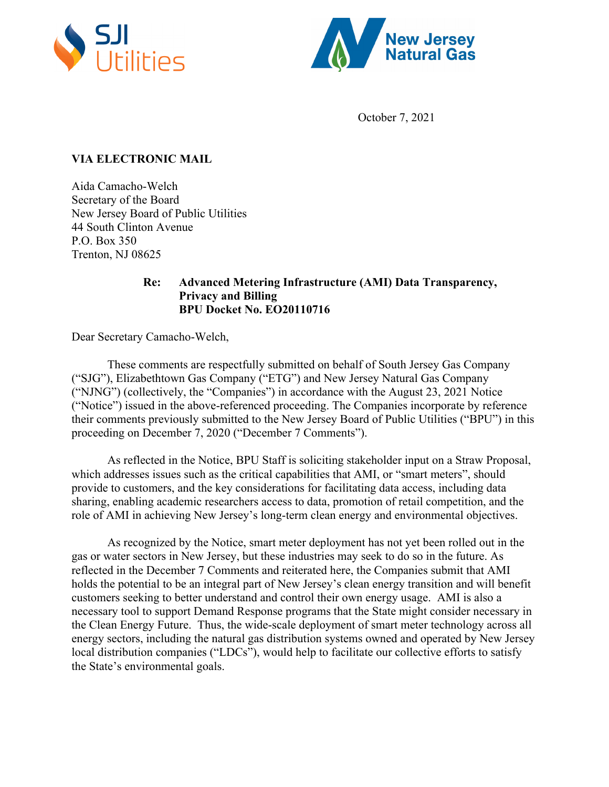



October 7, 2021

## **VIA ELECTRONIC MAIL**

Aida Camacho-Welch Secretary of the Board New Jersey Board of Public Utilities 44 South Clinton Avenue P.O. Box 350 Trenton, NJ 08625

## **Re: Advanced Metering Infrastructure (AMI) Data Transparency, Privacy and Billing BPU Docket No. EO20110716**

Dear Secretary Camacho-Welch,

These comments are respectfully submitted on behalf of South Jersey Gas Company ("SJG"), Elizabethtown Gas Company ("ETG") and New Jersey Natural Gas Company ("NJNG") (collectively, the "Companies") in accordance with the August 23, 2021 Notice ("Notice") issued in the above-referenced proceeding. The Companies incorporate by reference their comments previously submitted to the New Jersey Board of Public Utilities ("BPU") in this proceeding on December 7, 2020 ("December 7 Comments").

 As reflected in the Notice, BPU Staff is soliciting stakeholder input on a Straw Proposal, which addresses issues such as the critical capabilities that AMI, or "smart meters", should provide to customers, and the key considerations for facilitating data access, including data sharing, enabling academic researchers access to data, promotion of retail competition, and the role of AMI in achieving New Jersey's long-term clean energy and environmental objectives.

 As recognized by the Notice, smart meter deployment has not yet been rolled out in the gas or water sectors in New Jersey, but these industries may seek to do so in the future. As reflected in the December 7 Comments and reiterated here, the Companies submit that AMI holds the potential to be an integral part of New Jersey's clean energy transition and will benefit customers seeking to better understand and control their own energy usage. AMI is also a necessary tool to support Demand Response programs that the State might consider necessary in the Clean Energy Future. Thus, the wide-scale deployment of smart meter technology across all energy sectors, including the natural gas distribution systems owned and operated by New Jersey local distribution companies ("LDCs"), would help to facilitate our collective efforts to satisfy the State's environmental goals.